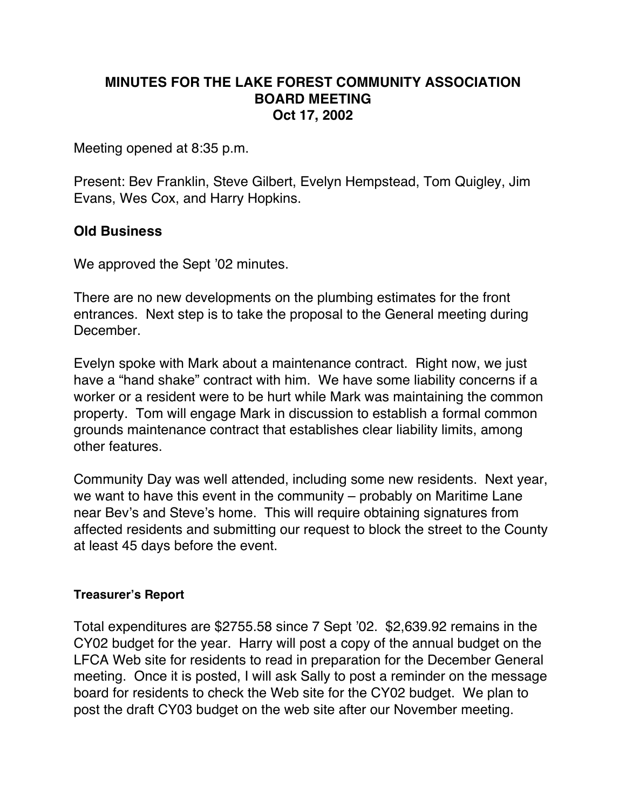## **MINUTES FOR THE LAKE FOREST COMMUNITY ASSOCIATION BOARD MEETING Oct 17, 2002**

Meeting opened at 8:35 p.m.

Present: Bev Franklin, Steve Gilbert, Evelyn Hempstead, Tom Quigley, Jim Evans, Wes Cox, and Harry Hopkins.

## **Old Business**

We approved the Sept '02 minutes.

There are no new developments on the plumbing estimates for the front entrances. Next step is to take the proposal to the General meeting during December.

Evelyn spoke with Mark about a maintenance contract. Right now, we just have a "hand shake" contract with him. We have some liability concerns if a worker or a resident were to be hurt while Mark was maintaining the common property. Tom will engage Mark in discussion to establish a formal common grounds maintenance contract that establishes clear liability limits, among other features.

Community Day was well attended, including some new residents. Next year, we want to have this event in the community – probably on Maritime Lane near Bev's and Steve's home. This will require obtaining signatures from affected residents and submitting our request to block the street to the County at least 45 days before the event.

## **Treasurer's Report**

Total expenditures are \$2755.58 since 7 Sept '02. \$2,639.92 remains in the CY02 budget for the year. Harry will post a copy of the annual budget on the LFCA Web site for residents to read in preparation for the December General meeting. Once it is posted, I will ask Sally to post a reminder on the message board for residents to check the Web site for the CY02 budget. We plan to post the draft CY03 budget on the web site after our November meeting.